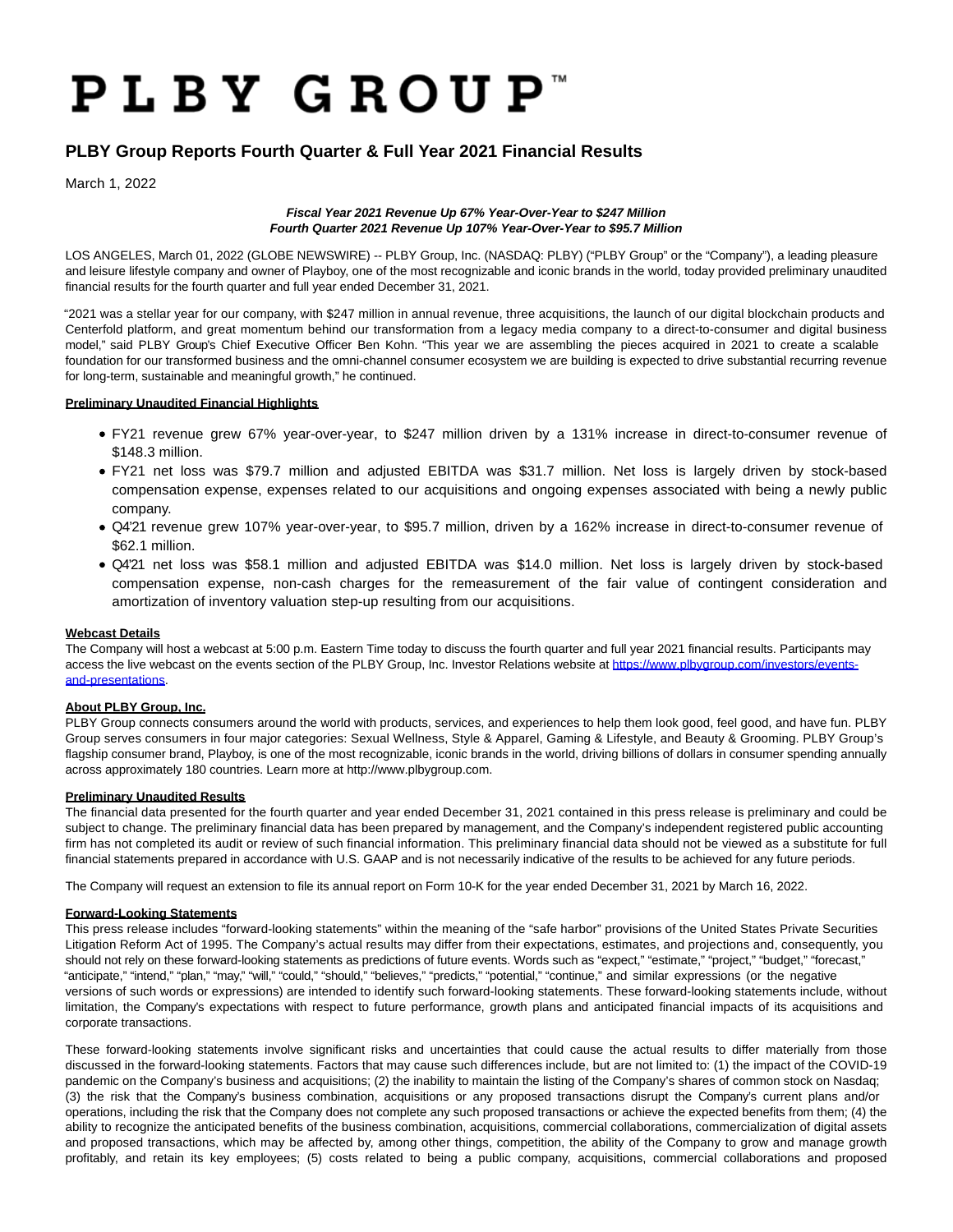# **PLBY GROUP**

## **PLBY Group Reports Fourth Quarter & Full Year 2021 Financial Results**

March 1, 2022

### **Fiscal Year 2021 Revenue Up 67% Year-Over-Year to \$247 Million Fourth Quarter 2021 Revenue Up 107% Year-Over-Year to \$95.7 Million**

LOS ANGELES, March 01, 2022 (GLOBE NEWSWIRE) -- PLBY Group, Inc. (NASDAQ: PLBY) ("PLBY Group" or the "Company"), a leading pleasure and leisure lifestyle company and owner of Playboy, one of the most recognizable and iconic brands in the world, today provided preliminary unaudited financial results for the fourth quarter and full year ended December 31, 2021.

"2021 was a stellar year for our company, with \$247 million in annual revenue, three acquisitions, the launch of our digital blockchain products and Centerfold platform, and great momentum behind our transformation from a legacy media company to a direct-to-consumer and digital business model," said PLBY Group's Chief Executive Officer Ben Kohn. "This year we are assembling the pieces acquired in 2021 to create a scalable foundation for our transformed business and the omni-channel consumer ecosystem we are building is expected to drive substantial recurring revenue for long-term, sustainable and meaningful growth," he continued.

### **Preliminary Unaudited Financial Highlights**

- FY21 revenue grew 67% year-over-year, to \$247 million driven by a 131% increase in direct-to-consumer revenue of \$148.3 million.
- FY21 net loss was \$79.7 million and adjusted EBITDA was \$31.7 million. Net loss is largely driven by stock-based compensation expense, expenses related to our acquisitions and ongoing expenses associated with being a newly public company.
- Q4'21 revenue grew 107% year-over-year, to \$95.7 million, driven by a 162% increase in direct-to-consumer revenue of \$62.1 million.
- Q4'21 net loss was \$58.1 million and adjusted EBITDA was \$14.0 million. Net loss is largely driven by stock-based compensation expense, non-cash charges for the remeasurement of the fair value of contingent consideration and amortization of inventory valuation step-up resulting from our acquisitions.

### **Webcast Details**

The Company will host a webcast at 5:00 p.m. Eastern Time today to discuss the fourth quarter and full year 2021 financial results. Participants may access the live webcast on the events section of the PLBY Group, Inc. Investor Relations website at [https://www.plbygroup.com/investors/events](https://www.globenewswire.com/Tracker?data=Q5Mtsyq8yp-J_rZ9oHoJAFGfsol6aqtmdMyHoWMsx6hpyE316O4ZwdcPWOQobkwo3vw6cP88DFh-eoSIxkSC_sl4l74jGdTOVdHU_vmqel1d-FRgdqs91sIK4qIQGpizcKfM2VG7efXoWCdg0stbljRf66Whxb-sAxfFPfXTl0vIYxZBZGLN2k8qhbJUx2ie)and-presentations.

### **About PLBY Group, Inc.**

PLBY Group connects consumers around the world with products, services, and experiences to help them look good, feel good, and have fun. PLBY Group serves consumers in four major categories: Sexual Wellness, Style & Apparel, Gaming & Lifestyle, and Beauty & Grooming. PLBY Group's flagship consumer brand, Playboy, is one of the most recognizable, iconic brands in the world, driving billions of dollars in consumer spending annually across approximately 180 countries. Learn more at http://www.plbygroup.com.

### **Preliminary Unaudited Results**

The financial data presented for the fourth quarter and year ended December 31, 2021 contained in this press release is preliminary and could be subject to change. The preliminary financial data has been prepared by management, and the Company's independent registered public accounting firm has not completed its audit or review of such financial information. This preliminary financial data should not be viewed as a substitute for full financial statements prepared in accordance with U.S. GAAP and is not necessarily indicative of the results to be achieved for any future periods.

The Company will request an extension to file its annual report on Form 10-K for the year ended December 31, 2021 by March 16, 2022.

### **Forward-Looking Statements**

This press release includes "forward-looking statements" within the meaning of the "safe harbor" provisions of the United States Private Securities Litigation Reform Act of 1995. The Company's actual results may differ from their expectations, estimates, and projections and, consequently, you should not rely on these forward-looking statements as predictions of future events. Words such as "expect," "estimate," "project," "budget," "forecast," "anticipate," "intend," "plan," "may," "will," "could," "should," "believes," "predicts," "potential," "continue," and similar expressions (or the negative versions of such words or expressions) are intended to identify such forward-looking statements. These forward-looking statements include, without limitation, the Company's expectations with respect to future performance, growth plans and anticipated financial impacts of its acquisitions and corporate transactions.

These forward-looking statements involve significant risks and uncertainties that could cause the actual results to differ materially from those discussed in the forward-looking statements. Factors that may cause such differences include, but are not limited to: (1) the impact of the COVID-19 pandemic on the Company's business and acquisitions; (2) the inability to maintain the listing of the Company's shares of common stock on Nasdaq; (3) the risk that the Company's business combination, acquisitions or any proposed transactions disrupt the Company's current plans and/or operations, including the risk that the Company does not complete any such proposed transactions or achieve the expected benefits from them; (4) the ability to recognize the anticipated benefits of the business combination, acquisitions, commercial collaborations, commercialization of digital assets and proposed transactions, which may be affected by, among other things, competition, the ability of the Company to grow and manage growth profitably, and retain its key employees; (5) costs related to being a public company, acquisitions, commercial collaborations and proposed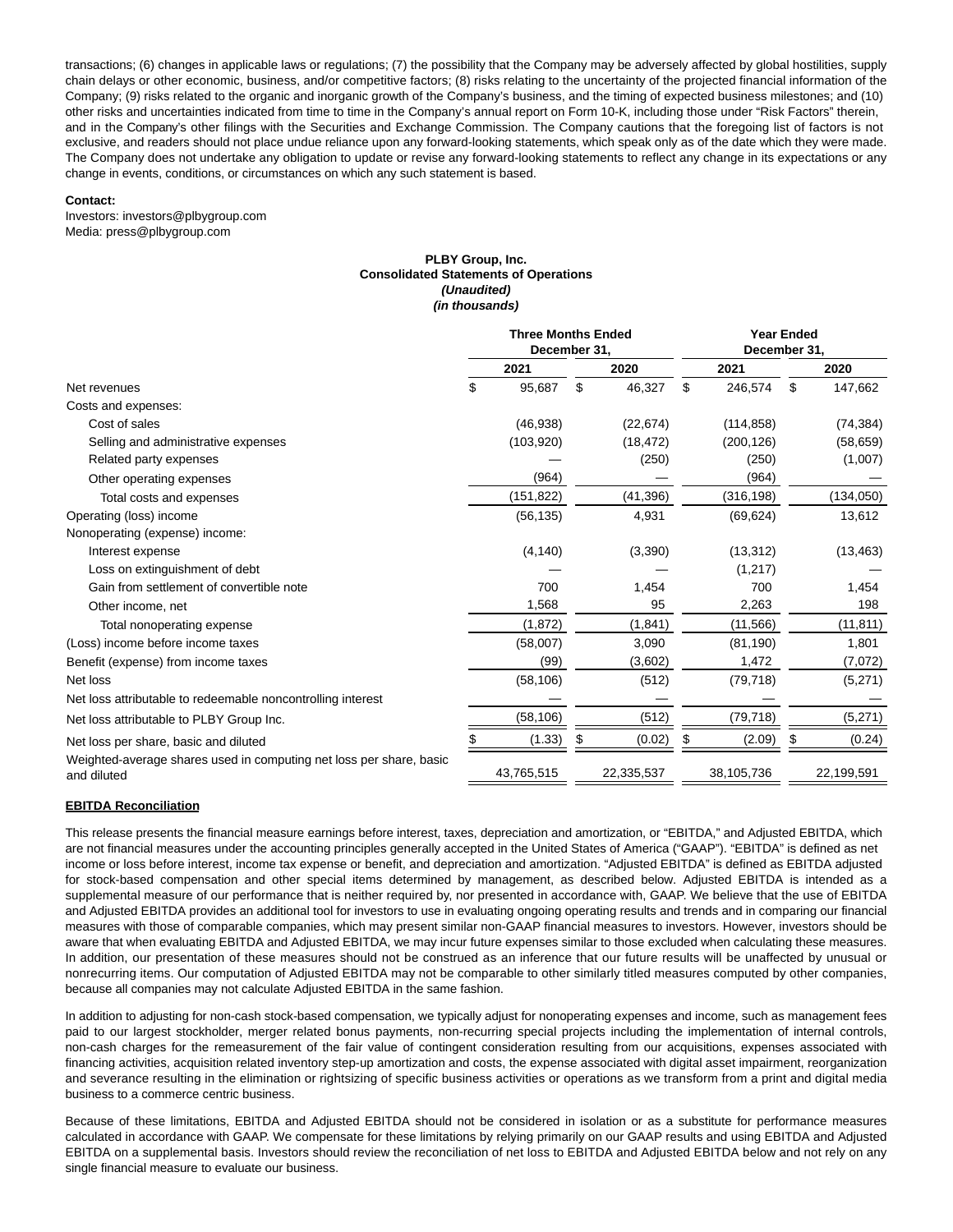transactions; (6) changes in applicable laws or regulations; (7) the possibility that the Company may be adversely affected by global hostilities, supply chain delays or other economic, business, and/or competitive factors; (8) risks relating to the uncertainty of the projected financial information of the Company; (9) risks related to the organic and inorganic growth of the Company's business, and the timing of expected business milestones; and (10) other risks and uncertainties indicated from time to time in the Company's annual report on Form 10-K, including those under "Risk Factors" therein, and in the Company's other filings with the Securities and Exchange Commission. The Company cautions that the foregoing list of factors is not exclusive, and readers should not place undue reliance upon any forward-looking statements, which speak only as of the date which they were made. The Company does not undertake any obligation to update or revise any forward-looking statements to reflect any change in its expectations or any change in events, conditions, or circumstances on which any such statement is based.

#### **Contact:**

Investors: investors@plbygroup.com Media: press@plbygroup.com

#### **PLBY Group, Inc. Consolidated Statements of Operations (Unaudited) (in thousands)**

|                                                                                    | <b>Three Months Ended</b><br>December 31, |            |    |            |    | <b>Year Ended</b><br>December 31, |    |            |  |  |
|------------------------------------------------------------------------------------|-------------------------------------------|------------|----|------------|----|-----------------------------------|----|------------|--|--|
|                                                                                    |                                           | 2021       |    | 2020       |    | 2021                              |    | 2020       |  |  |
| Net revenues                                                                       | \$                                        | 95,687     | \$ | 46,327     | \$ | 246,574                           | \$ | 147,662    |  |  |
| Costs and expenses:                                                                |                                           |            |    |            |    |                                   |    |            |  |  |
| Cost of sales                                                                      |                                           | (46, 938)  |    | (22, 674)  |    | (114, 858)                        |    | (74, 384)  |  |  |
| Selling and administrative expenses                                                |                                           | (103,920)  |    | (18, 472)  |    | (200, 126)                        |    | (58, 659)  |  |  |
| Related party expenses                                                             |                                           |            |    | (250)      |    | (250)                             |    | (1,007)    |  |  |
| Other operating expenses                                                           |                                           | (964)      |    |            |    | (964)                             |    |            |  |  |
| Total costs and expenses                                                           |                                           | (151, 822) |    | (41, 396)  |    | (316, 198)                        |    | (134, 050) |  |  |
| Operating (loss) income                                                            |                                           | (56, 135)  |    | 4,931      |    | (69, 624)                         |    | 13,612     |  |  |
| Nonoperating (expense) income:                                                     |                                           |            |    |            |    |                                   |    |            |  |  |
| Interest expense                                                                   |                                           | (4, 140)   |    | (3,390)    |    | (13, 312)                         |    | (13, 463)  |  |  |
| Loss on extinguishment of debt                                                     |                                           |            |    |            |    | (1,217)                           |    |            |  |  |
| Gain from settlement of convertible note                                           |                                           | 700        |    | 1,454      |    | 700                               |    | 1,454      |  |  |
| Other income, net                                                                  |                                           | 1,568      |    | 95         |    | 2,263                             |    | 198        |  |  |
| Total nonoperating expense                                                         |                                           | (1, 872)   |    | (1,841)    |    | (11, 566)                         |    | (11, 811)  |  |  |
| (Loss) income before income taxes                                                  |                                           | (58,007)   |    | 3,090      |    | (81, 190)                         |    | 1,801      |  |  |
| Benefit (expense) from income taxes                                                |                                           | (99)       |    | (3,602)    |    | 1,472                             |    | (7,072)    |  |  |
| Net loss                                                                           |                                           | (58, 106)  |    | (512)      |    | (79, 718)                         |    | (5,271)    |  |  |
| Net loss attributable to redeemable noncontrolling interest                        |                                           |            |    |            |    |                                   |    |            |  |  |
| Net loss attributable to PLBY Group Inc.                                           |                                           | (58, 106)  |    | (512)      |    | (79, 718)                         |    | (5,271)    |  |  |
| Net loss per share, basic and diluted                                              |                                           | (1.33)     |    | (0.02)     | Ъ  | (2.09)                            | Ъ  | (0.24)     |  |  |
| Weighted-average shares used in computing net loss per share, basic<br>and diluted |                                           | 43,765,515 |    | 22,335,537 |    | 38,105,736                        |    | 22,199,591 |  |  |

### **EBITDA Reconciliation**

This release presents the financial measure earnings before interest, taxes, depreciation and amortization, or "EBITDA," and Adjusted EBITDA, which are not financial measures under the accounting principles generally accepted in the United States of America ("GAAP"). "EBITDA" is defined as net income or loss before interest, income tax expense or benefit, and depreciation and amortization. "Adjusted EBITDA" is defined as EBITDA adjusted for stock-based compensation and other special items determined by management, as described below. Adjusted EBITDA is intended as a supplemental measure of our performance that is neither required by, nor presented in accordance with, GAAP. We believe that the use of EBITDA and Adjusted EBITDA provides an additional tool for investors to use in evaluating ongoing operating results and trends and in comparing our financial measures with those of comparable companies, which may present similar non-GAAP financial measures to investors. However, investors should be aware that when evaluating EBITDA and Adjusted EBITDA, we may incur future expenses similar to those excluded when calculating these measures. In addition, our presentation of these measures should not be construed as an inference that our future results will be unaffected by unusual or nonrecurring items. Our computation of Adjusted EBITDA may not be comparable to other similarly titled measures computed by other companies, because all companies may not calculate Adjusted EBITDA in the same fashion.

In addition to adjusting for non-cash stock-based compensation, we typically adjust for nonoperating expenses and income, such as management fees paid to our largest stockholder, merger related bonus payments, non-recurring special projects including the implementation of internal controls, non-cash charges for the remeasurement of the fair value of contingent consideration resulting from our acquisitions, expenses associated with financing activities, acquisition related inventory step-up amortization and costs, the expense associated with digital asset impairment, reorganization and severance resulting in the elimination or rightsizing of specific business activities or operations as we transform from a print and digital media business to a commerce centric business.

Because of these limitations, EBITDA and Adjusted EBITDA should not be considered in isolation or as a substitute for performance measures calculated in accordance with GAAP. We compensate for these limitations by relying primarily on our GAAP results and using EBITDA and Adjusted EBITDA on a supplemental basis. Investors should review the reconciliation of net loss to EBITDA and Adjusted EBITDA below and not rely on any single financial measure to evaluate our business.